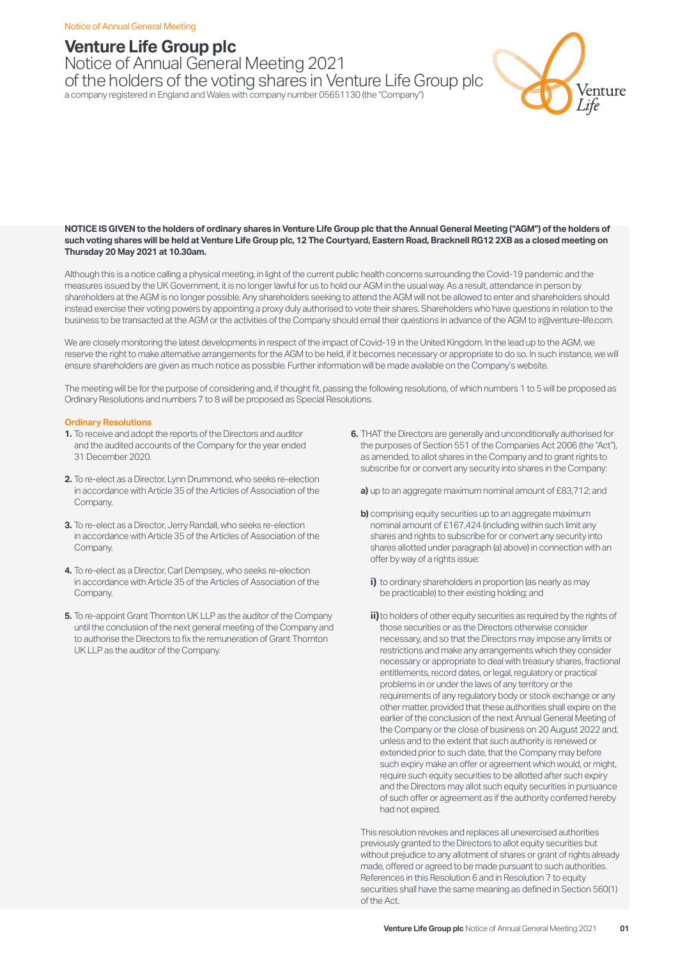## **Venture Life Group plc**

Notice of Annual General Meeting 2021 of the holders of the voting shares in Venture Life Group plc a company registered in England and Wales with company number 05651130 (the "Company")



#### **NOTICE IS GIVEN to the holders of ordinary shares in Venture Life Group plc that the Annual General Meeting ("AGM") of the holders of such voting shares will be held at Venture Life Group plc, 12 The Courtyard, Eastern Road, Bracknell RG12 2XB as a closed meeting on Thursday 20 May 2021 at 10.30am.**

Although this is a notice calling a physical meeting, in light of the current public health concerns surrounding the Covid-19 pandemic and the measures issued by the UK Government, it is no longer lawful for us to hold our AGM in the usual way. As a result, attendance in person by shareholders at the AGM is no longer possible. Any shareholders seeking to attend the AGM will not be allowed to enter and shareholders should instead exercise their voting powers by appointing a proxy duly authorised to vote their shares. Shareholders who have questions in relation to the business to be transacted at the AGM or the activities of the Company should email their questions in advance of the AGM to ir@venture-life.com.

We are closely monitoring the latest developments in respect of the impact of Covid-19 in the United Kingdom. In the lead up to the AGM, we reserve the right to make alternative arrangements for the AGM to be held, if it becomes necessary or appropriate to do so. In such instance, we will ensure shareholders are given as much notice as possible. Further information will be made available on the Company's website.

The meeting will be for the purpose of considering and, if thought fit, passing the following resolutions, of which numbers 1 to 5 will be proposed as Ordinary Resolutions and numbers 7 to 8 will be proposed as Special Resolutions.

### **Ordinary Resolutions**

- **1.** To receive and adopt the reports of the Directors and auditor and the audited accounts of the Company for the year ended 31 December 2020.
- **2.** To re-elect as a Director, Lynn Drummond, who seeks re-election in accordance with Article 35 of the Articles of Association of the Company.
- **3.** To re-elect as a Director, Jerry Randall, who seeks re-election in accordance with Article 35 of the Articles of Association of the Company.
- **4.** To re-elect as a Director, Carl Dempsey,, who seeks re-election in accordance with Article 35 of the Articles of Association of the Company.
- **5.** To re-appoint Grant Thornton UK LLP as the auditor of the Company until the conclusion of the next general meeting of the Company and to authorise the Directors to fix the remuneration of Grant Thornton UK LLP as the auditor of the Company.
- **6.** THAT the Directors are generally and unconditionally authorised for the purposes of Section 551 of the Companies Act 2006 (the "Act"), as amended, to allot shares in the Company and to grant rights to subscribe for or convert any security into shares in the Company:
	- **a)** up to an aggregate maximum nominal amount of £83,712; and
	- **b)** comprising equity securities up to an aggregate maximum nominal amount of £167,424 (including within such limit any shares and rights to subscribe for or convert any security into shares allotted under paragraph (a) above) in connection with an offer by way of a rights issue:
		- **i)** to ordinary shareholders in proportion (as nearly as may be practicable) to their existing holding; and
		- **ii)**to holders of other equity securities as required by the rights of those securities or as the Directors otherwise consider necessary, and so that the Directors may impose any limits or restrictions and make any arrangements which they consider necessary or appropriate to deal with treasury shares, fractional entitlements, record dates, or legal, regulatory or practical problems in or under the laws of any territory or the requirements of any regulatory body or stock exchange or any other matter, provided that these authorities shall expire on the earlier of the conclusion of the next Annual General Meeting of the Company or the close of business on 20 August 2022 and, unless and to the extent that such authority is renewed or extended prior to such date, that the Company may before such expiry make an offer or agreement which would, or might, require such equity securities to be allotted after such expiry and the Directors may allot such equity securities in pursuance of such offer or agreement as if the authority conferred hereby had not expired.

 This resolution revokes and replaces all unexercised authorities previously granted to the Directors to allot equity securities but without prejudice to any allotment of shares or grant of rights already made, offered or agreed to be made pursuant to such authorities. References in this Resolution 6 and in Resolution 7 to equity securities shall have the same meaning as defined in Section 560(1) of the Act.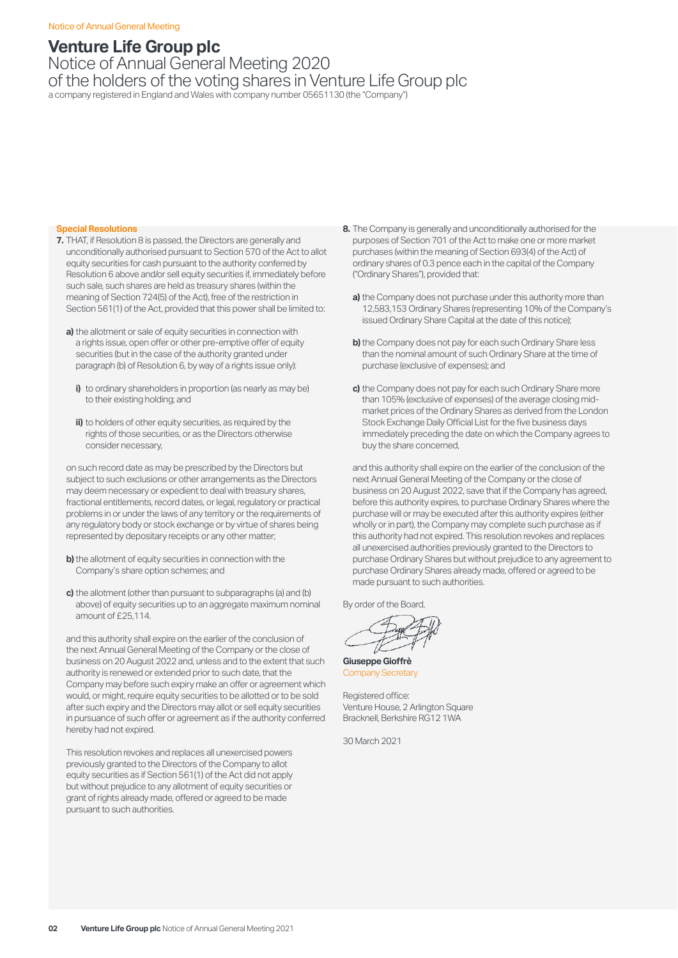# **Venture Life Group plc**

Notice of Annual General Meeting 2020 of the holders of the voting shares in Venture Life Group plc a company registered in England and Wales with company number 05651130 (the "Company")

#### **Special Resolutions**

- **7.** THAT, if Resolution 8 is passed, the Directors are generally and unconditionally authorised pursuant to Section 570 of the Act to allot equity securities for cash pursuant to the authority conferred by Resolution 6 above and/or sell equity securities if, immediately before such sale, such shares are held as treasury shares (within the meaning of Section 724(5) of the Act), free of the restriction in Section 561(1) of the Act, provided that this power shall be limited to:
	- **a)** the allotment or sale of equity securities in connection with a rights issue, open offer or other pre-emptive offer of equity securities (but in the case of the authority granted under paragraph (b) of Resolution 6, by way of a rights issue only):
		- **i)** to ordinary shareholders in proportion (as nearly as may be) to their existing holding; and
		- **ii)** to holders of other equity securities, as required by the rights of those securities, or as the Directors otherwise consider necessary,

on such record date as may be prescribed by the Directors but subject to such exclusions or other arrangements as the Directors may deem necessary or expedient to deal with treasury shares, fractional entitlements, record dates, or legal, regulatory or practical problems in or under the laws of any territory or the requirements of any regulatory body or stock exchange or by virtue of shares being represented by depositary receipts or any other matter;

- **b)** the allotment of equity securities in connection with the Company's share option schemes; and
- **c)** the allotment (other than pursuant to subparagraphs (a) and (b) above) of equity securities up to an aggregate maximum nominal amount of £25,114.

and this authority shall expire on the earlier of the conclusion of the next Annual General Meeting of the Company or the close of business on 20 August 2022 and, unless and to the extent that such authority is renewed or extended prior to such date, that the Company may before such expiry make an offer or agreement which would, or might, require equity securities to be allotted or to be sold after such expiry and the Directors may allot or sell equity securities in pursuance of such offer or agreement as if the authority conferred hereby had not expired.

This resolution revokes and replaces all unexercised powers previously granted to the Directors of the Company to allot equity securities as if Section 561(1) of the Act did not apply but without prejudice to any allotment of equity securities or grant of rights already made, offered or agreed to be made pursuant to such authorities.

- **8.** The Company is generally and unconditionally authorised for the purposes of Section 701 of the Act to make one or more market purchases (within the meaning of Section 693(4) of the Act) of ordinary shares of 0.3 pence each in the capital of the Company ("Ordinary Shares"), provided that:
	- **a)** the Company does not purchase under this authority more than 12,583,153 Ordinary Shares (representing 10% of the Company's issued Ordinary Share Capital at the date of this notice);
	- **b)** the Company does not pay for each such Ordinary Share less than the nominal amount of such Ordinary Share at the time of purchase (exclusive of expenses); and
	- **c)** the Company does not pay for each such Ordinary Share more than 105% (exclusive of expenses) of the average closing midmarket prices of the Ordinary Shares as derived from the London Stock Exchange Daily Official List for the five business days immediately preceding the date on which the Company agrees to buy the share concerned,

and this authority shall expire on the earlier of the conclusion of the next Annual General Meeting of the Company or the close of business on 20 August 2022, save that if the Company has agreed, before this authority expires, to purchase Ordinary Shares where the purchase will or may be executed after this authority expires (either wholly or in part), the Company may complete such purchase as if this authority had not expired. This resolution revokes and replaces all unexercised authorities previously granted to the Directors to purchase Ordinary Shares but without prejudice to any agreement to purchase Ordinary Shares already made, offered or agreed to be made pursuant to such authorities.

By order of the Board,

**Giuseppe Gioffrè** Company Secretary

Registered office: Venture House, 2 Arlington Square Bracknell, Berkshire RG12 1WA

30 March 2021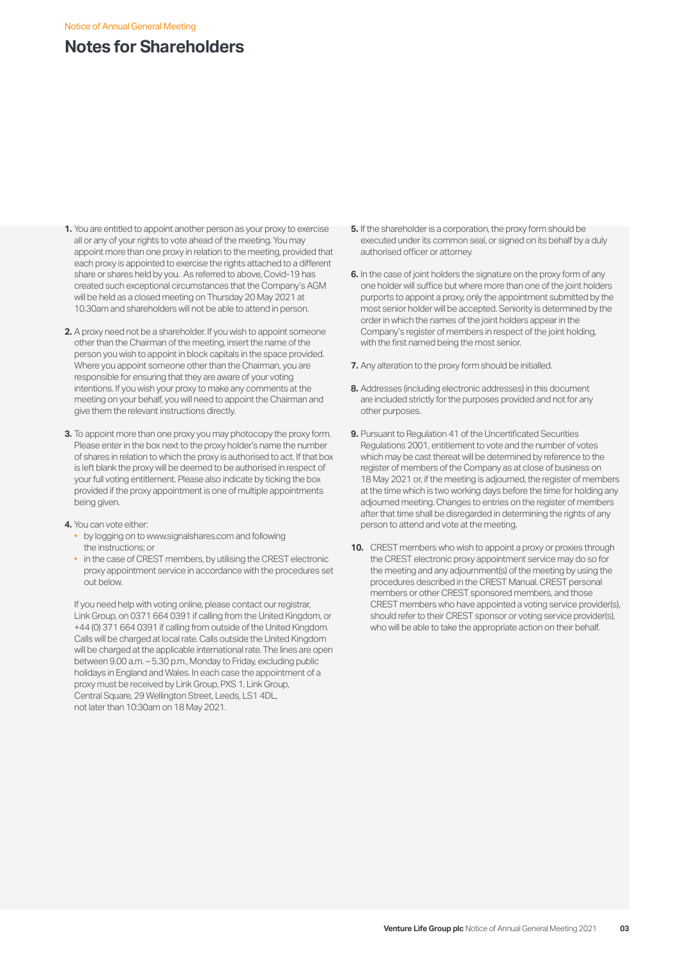# **Notes for Shareholders**

- **1.** You are entitled to appoint another person as your proxy to exercise all or any of your rights to vote ahead of the meeting. You may appoint more than one proxy in relation to the meeting, provided that each proxy is appointed to exercise the rights attached to a different share or shares held by you. As referred to above, Covid-19 has created such exceptional circumstances that the Company's AGM will be held as a closed meeting on Thursday 20 May 2021 at 10.30am and shareholders will not be able to attend in person.
- **2.** A proxy need not be a shareholder. If you wish to appoint someone other than the Chairman of the meeting, insert the name of the person you wish to appoint in block capitals in the space provided. Where you appoint someone other than the Chairman, you are responsible for ensuring that they are aware of your voting intentions. If you wish your proxy to make any comments at the meeting on your behalf, you will need to appoint the Chairman and give them the relevant instructions directly.
- **3.** To appoint more than one proxy you may photocopy the proxy form. Please enter in the box next to the proxy holder's name the number of shares in relation to which the proxy is authorised to act. If that box is left blank the proxy will be deemed to be authorised in respect of your full voting entitlement. Please also indicate by ticking the box provided if the proxy appointment is one of multiple appointments being given.
- **4.** You can vote either:
	- by logging on to www.signalshares.com and following the instructions; or
	- in the case of CREST members, by utilising the CREST electronic proxy appointment service in accordance with the procedures set out below.

If you need help with voting online, please contact our registrar, Link Group, on 0371 664 0391 if calling from the United Kingdom, or +44 (0) 371 664 0391 if calling from outside of the United Kingdom. Calls will be charged at local rate. Calls outside the United Kingdom will be charged at the applicable international rate. The lines are open between 9.00 a.m. – 5.30 p.m., Monday to Friday, excluding public holidays in England and Wales. In each case the appointment of a proxy must be received by Link Group, PXS 1, Link Group, Central Square, 29 Wellington Street, Leeds, LS1 4DL, not later than 10:30am on 18 May 2021.

- **5.** If the shareholder is a corporation, the proxy form should be executed under its common seal, or signed on its behalf by a duly authorised officer or attorney.
- **6.** In the case of joint holders the signature on the proxy form of any one holder will suffice but where more than one of the joint holders purports to appoint a proxy, only the appointment submitted by the most senior holder will be accepted. Seniority is determined by the order in which the names of the joint holders appear in the Company's register of members in respect of the joint holding. with the first named being the most senior.
- **7.** Any alteration to the proxy form should be initialled.
- **8.** Addresses (including electronic addresses) in this document are included strictly for the purposes provided and not for any other purposes.
- **9.** Pursuant to Regulation 41 of the Uncertificated Securities Regulations 2001, entitlement to vote and the number of votes which may be cast thereat will be determined by reference to the register of members of the Company as at close of business on 18 May 2021 or, if the meeting is adjourned, the register of members at the time which is two working days before the time for holding any adjourned meeting. Changes to entries on the register of members after that time shall be disregarded in determining the rights of any person to attend and vote at the meeting.
- **10.** CREST members who wish to appoint a proxy or proxies through the CREST electronic proxy appointment service may do so for the meeting and any adjournment(s) of the meeting by using the procedures described in the CREST Manual. CREST personal members or other CREST sponsored members, and those CREST members who have appointed a voting service provider(s), should refer to their CREST sponsor or voting service provider(s), who will be able to take the appropriate action on their behalf.